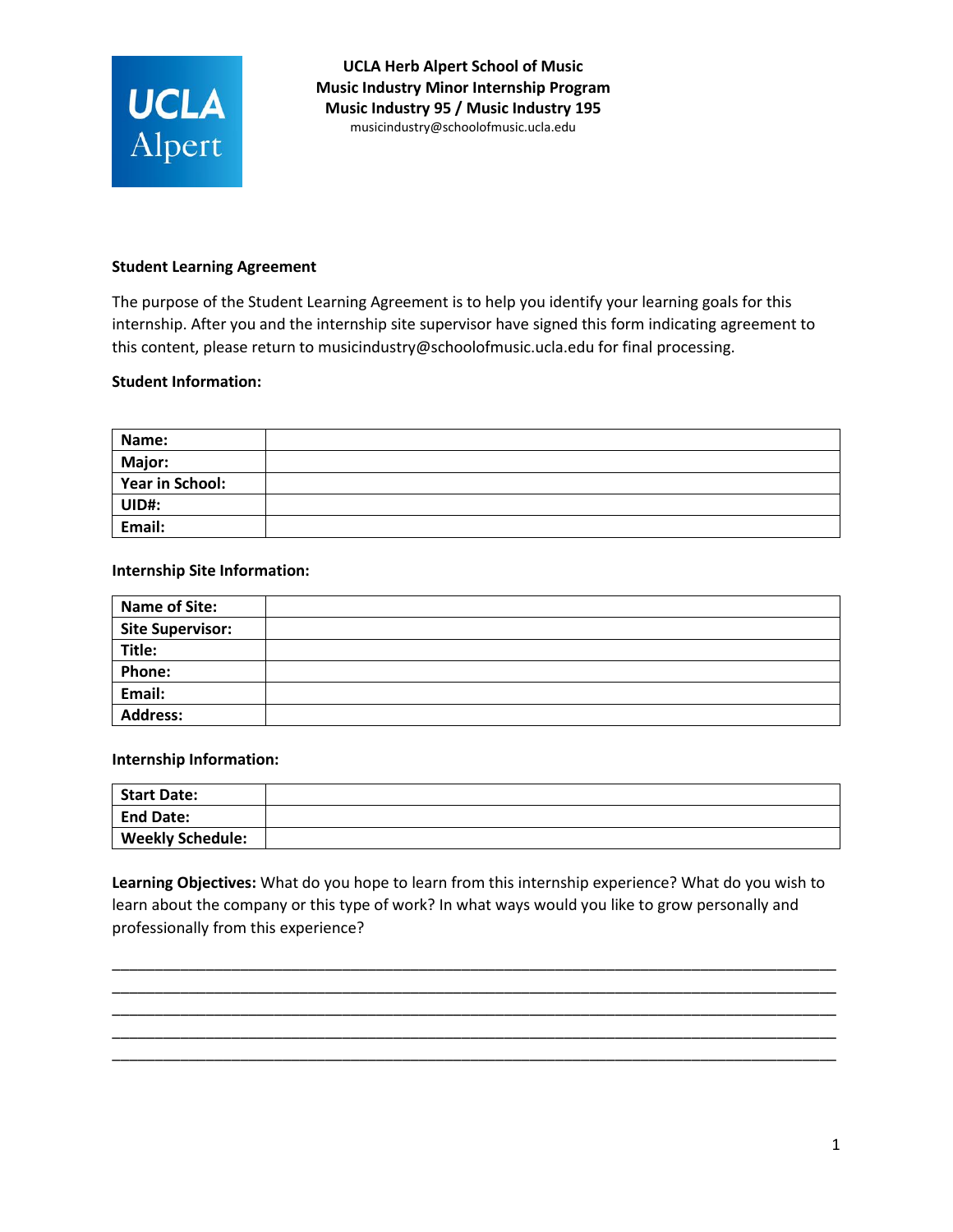

**UCLA Herb Alpert School of Music Music Industry Minor Internship Program Music Industry 95 / Music Industry 195**  mu[sicindustry@schoolofmusic.ucla.e](mailto:espitz@schoolofmusic.ucla.edu)du

## **Student Learning Agreement**

The purpose of the Student Learning Agreement is to help you identify your learning goals for this internship. After you and the internship site supervisor have signed this form indicating agreement to this content, please return to musicindustry@schoolofmusic.ucla.edu for final processing.

## **Student Information:**

| Name:                  |  |
|------------------------|--|
| Major:                 |  |
| <b>Year in School:</b> |  |
| UID#:                  |  |
| Email:                 |  |

## **Internship Site Information:**

| <b>Name of Site:</b>    |  |
|-------------------------|--|
| <b>Site Supervisor:</b> |  |
| Title:                  |  |
| <b>Phone:</b>           |  |
| Email:                  |  |
| <b>Address:</b>         |  |

## **Internship Information:**

| <b>Start Date:</b>      |  |
|-------------------------|--|
| <b>End Date:</b>        |  |
| <b>Weekly Schedule:</b> |  |

**Learning Objectives:** What do you hope to learn from this internship experience? What do you wish to learn about the company or this type of work? In what ways would you like to grow personally and professionally from this experience?

\_\_\_\_\_\_\_\_\_\_\_\_\_\_\_\_\_\_\_\_\_\_\_\_\_\_\_\_\_\_\_\_\_\_\_\_\_\_\_\_\_\_\_\_\_\_\_\_\_\_\_\_\_\_\_\_\_\_\_\_\_\_\_\_\_\_\_\_\_\_\_\_\_\_\_\_\_\_\_\_\_\_\_\_\_ \_\_\_\_\_\_\_\_\_\_\_\_\_\_\_\_\_\_\_\_\_\_\_\_\_\_\_\_\_\_\_\_\_\_\_\_\_\_\_\_\_\_\_\_\_\_\_\_\_\_\_\_\_\_\_\_\_\_\_\_\_\_\_\_\_\_\_\_\_\_\_\_\_\_\_\_\_\_\_\_\_\_\_\_\_ \_\_\_\_\_\_\_\_\_\_\_\_\_\_\_\_\_\_\_\_\_\_\_\_\_\_\_\_\_\_\_\_\_\_\_\_\_\_\_\_\_\_\_\_\_\_\_\_\_\_\_\_\_\_\_\_\_\_\_\_\_\_\_\_\_\_\_\_\_\_\_\_\_\_\_\_\_\_\_\_\_\_\_\_\_ \_\_\_\_\_\_\_\_\_\_\_\_\_\_\_\_\_\_\_\_\_\_\_\_\_\_\_\_\_\_\_\_\_\_\_\_\_\_\_\_\_\_\_\_\_\_\_\_\_\_\_\_\_\_\_\_\_\_\_\_\_\_\_\_\_\_\_\_\_\_\_\_\_\_\_\_\_\_\_\_\_\_\_\_\_ \_\_\_\_\_\_\_\_\_\_\_\_\_\_\_\_\_\_\_\_\_\_\_\_\_\_\_\_\_\_\_\_\_\_\_\_\_\_\_\_\_\_\_\_\_\_\_\_\_\_\_\_\_\_\_\_\_\_\_\_\_\_\_\_\_\_\_\_\_\_\_\_\_\_\_\_\_\_\_\_\_\_\_\_\_